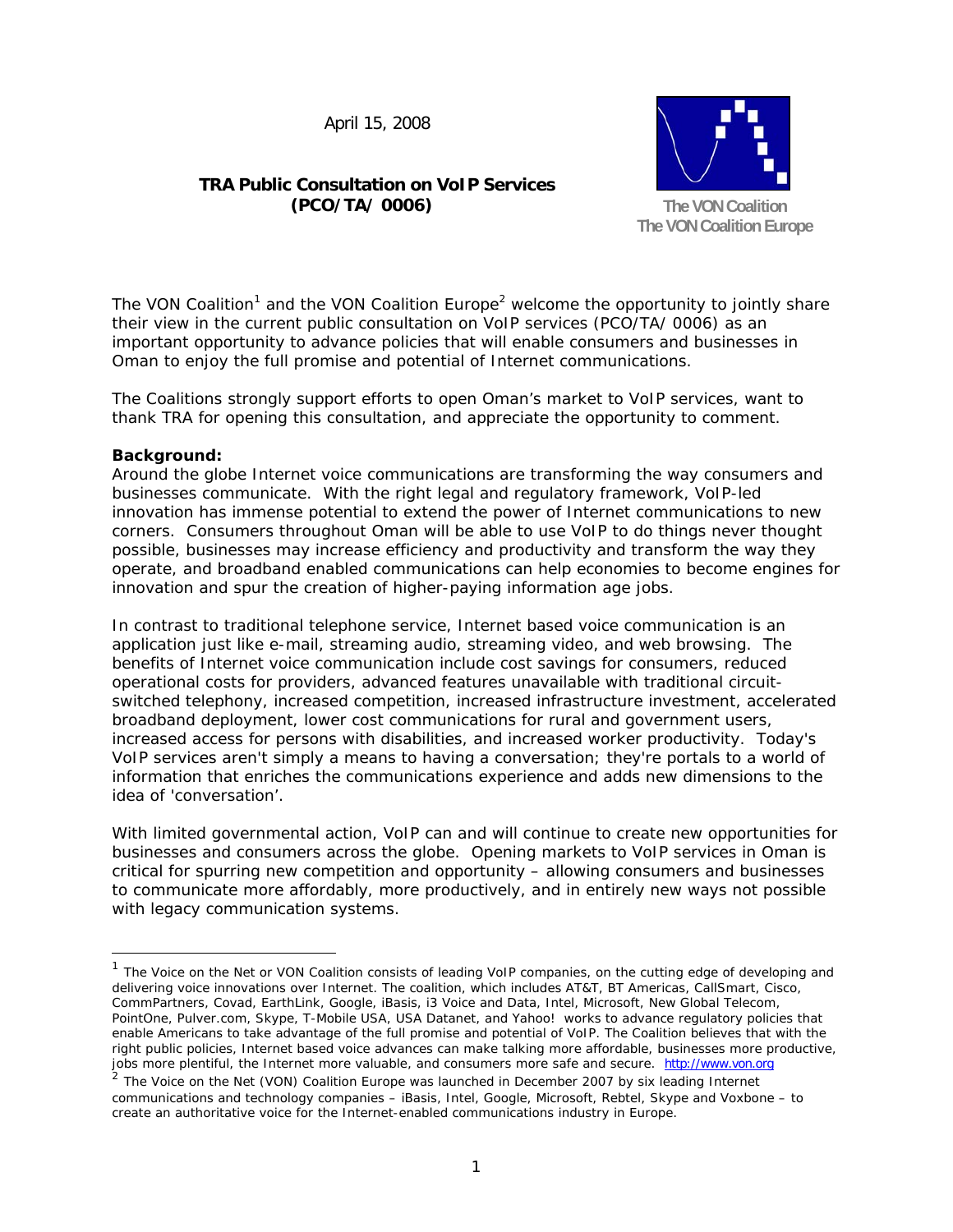April 15, 2008

# **TRA Public Consultation on VoIP Services (PCO/TA/ 0006)**



The VON Coalition<sup>1</sup> and the VON Coalition Europe<sup>2</sup> welcome the opportunity to jointly share their view in the current public consultation on VoIP services (PCO/TA/ 0006) as an important opportunity to advance policies that will enable consumers and businesses in Oman to enjoy the full promise and potential of Internet communications.

The Coalitions strongly support efforts to open Oman's market to VoIP services, want to thank TRA for opening this consultation, and appreciate the opportunity to comment.

# **Background:**

-

Around the globe Internet voice communications are transforming the way consumers and businesses communicate. With the right legal and regulatory framework, VoIP-led innovation has immense potential to extend the power of Internet communications to new corners. Consumers throughout Oman will be able to use VoIP to do things never thought possible, businesses may increase efficiency and productivity and transform the way they operate, and broadband enabled communications can help economies to become engines for innovation and spur the creation of higher-paying information age jobs.

In contrast to traditional telephone service, Internet based voice communication is an application just like e-mail, streaming audio, streaming video, and web browsing. The benefits of Internet voice communication include cost savings for consumers, reduced operational costs for providers, advanced features unavailable with traditional circuitswitched telephony, increased competition, increased infrastructure investment, accelerated broadband deployment, lower cost communications for rural and government users, increased access for persons with disabilities, and increased worker productivity. Today's VoIP services aren't simply a means to having a conversation; they're portals to a world of information that enriches the communications experience and adds new dimensions to the idea of 'conversation'.

With limited governmental action, VoIP can and will continue to create new opportunities for businesses and consumers across the globe. Opening markets to VoIP services in Oman is critical for spurring new competition and opportunity – allowing consumers and businesses to communicate more affordably, more productively, and in entirely new ways not possible with legacy communication systems.

<sup>&</sup>lt;sup>1</sup> The Voice on the Net or VON Coalition consists of leading VoIP companies, on the cutting edge of developing and delivering voice innovations over Internet. The coalition, which includes AT&T, BT Americas, CallSmart, Cisco, CommPartners, Covad, EarthLink, Google, iBasis, i3 Voice and Data, Intel, Microsoft, New Global Telecom, PointOne, Pulver.com, Skype, T-Mobile USA, USA Datanet, and Yahoo! works to advance regulatory policies that enable Americans to take advantage of the full promise and potential of VoIP. The Coalition believes that with the right public policies, Internet based voice advances can make talking more affordable, businesses more productive, jobs more plentiful, the Internet more valuable, and consumers more safe and secure. http://www.von.org

 $2$  The Voice on the Net (VON) Coalition Europe was launched in December 2007 by six leading Internet communications and technology companies – iBasis, Intel, Google, Microsoft, Rebtel, Skype and Voxbone – to create an authoritative voice for the Internet-enabled communications industry in Europe.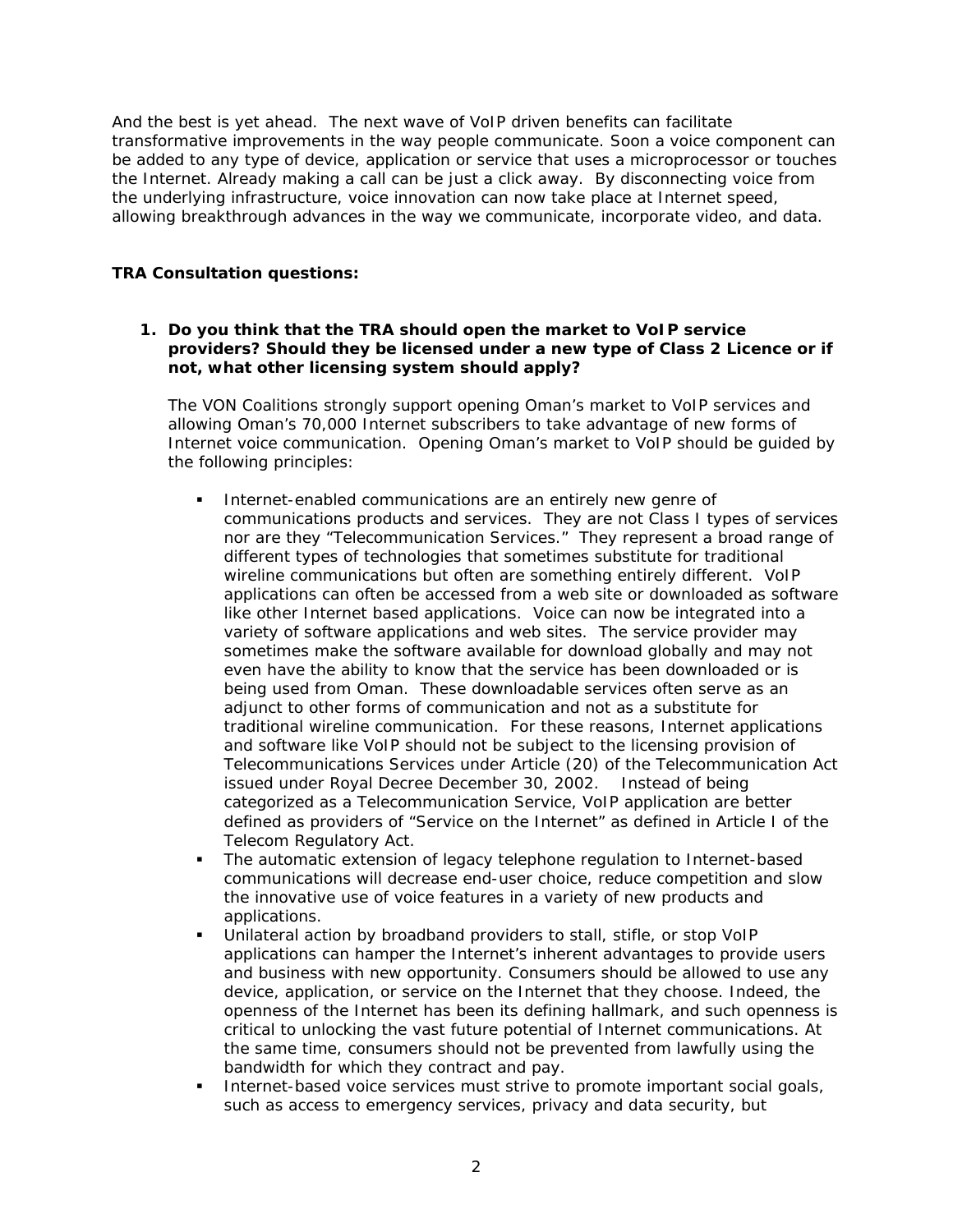And the best is yet ahead. The next wave of VoIP driven benefits can facilitate transformative improvements in the way people communicate. Soon a voice component can be added to any type of device, application or service that uses a microprocessor or touches the Internet. Already making a call can be just a click away. By disconnecting voice from the underlying infrastructure, voice innovation can now take place at Internet speed, allowing breakthrough advances in the way we communicate, incorporate video, and data.

# **TRA Consultation questions:**

### **1. Do you think that the TRA should open the market to VoIP service providers? Should they be licensed under a new type of Class 2 Licence or if not, what other licensing system should apply?**

The VON Coalitions strongly support opening Oman's market to VoIP services and allowing Oman's 70,000 Internet subscribers to take advantage of new forms of Internet voice communication. Opening Oman's market to VoIP should be guided by the following principles:

- **Internet-enabled communications are an entirely new genre of** communications products and services. They are not Class I types of services nor are they "Telecommunication Services." They represent a broad range of different types of technologies that sometimes substitute for traditional wireline communications but often are something entirely different. VoIP applications can often be accessed from a web site or downloaded as software like other Internet based applications. Voice can now be integrated into a variety of software applications and web sites. The service provider may sometimes make the software available for download globally and may not even have the ability to know that the service has been downloaded or is being used from Oman. These downloadable services often serve as an adjunct to other forms of communication and not as a substitute for traditional wireline communication. For these reasons, Internet applications and software like VoIP should not be subject to the licensing provision of Telecommunications Services under Article (20) of the Telecommunication Act issued under Royal Decree December 30, 2002. Instead of being categorized as a Telecommunication Service, VoIP application are better defined as providers of "Service on the Internet" as defined in Article I of the Telecom Regulatory Act.
- The automatic extension of legacy telephone regulation to Internet-based communications will decrease end-user choice, reduce competition and slow the innovative use of voice features in a variety of new products and applications.
- Unilateral action by broadband providers to stall, stifle, or stop VoIP applications can hamper the Internet's inherent advantages to provide users and business with new opportunity. Consumers should be allowed to use any device, application, or service on the Internet that they choose. Indeed, the openness of the Internet has been its defining hallmark, and such openness is critical to unlocking the vast future potential of Internet communications. At the same time, consumers should not be prevented from lawfully using the bandwidth for which they contract and pay.
- Internet-based voice services must strive to promote important social goals, such as access to emergency services, privacy and data security, but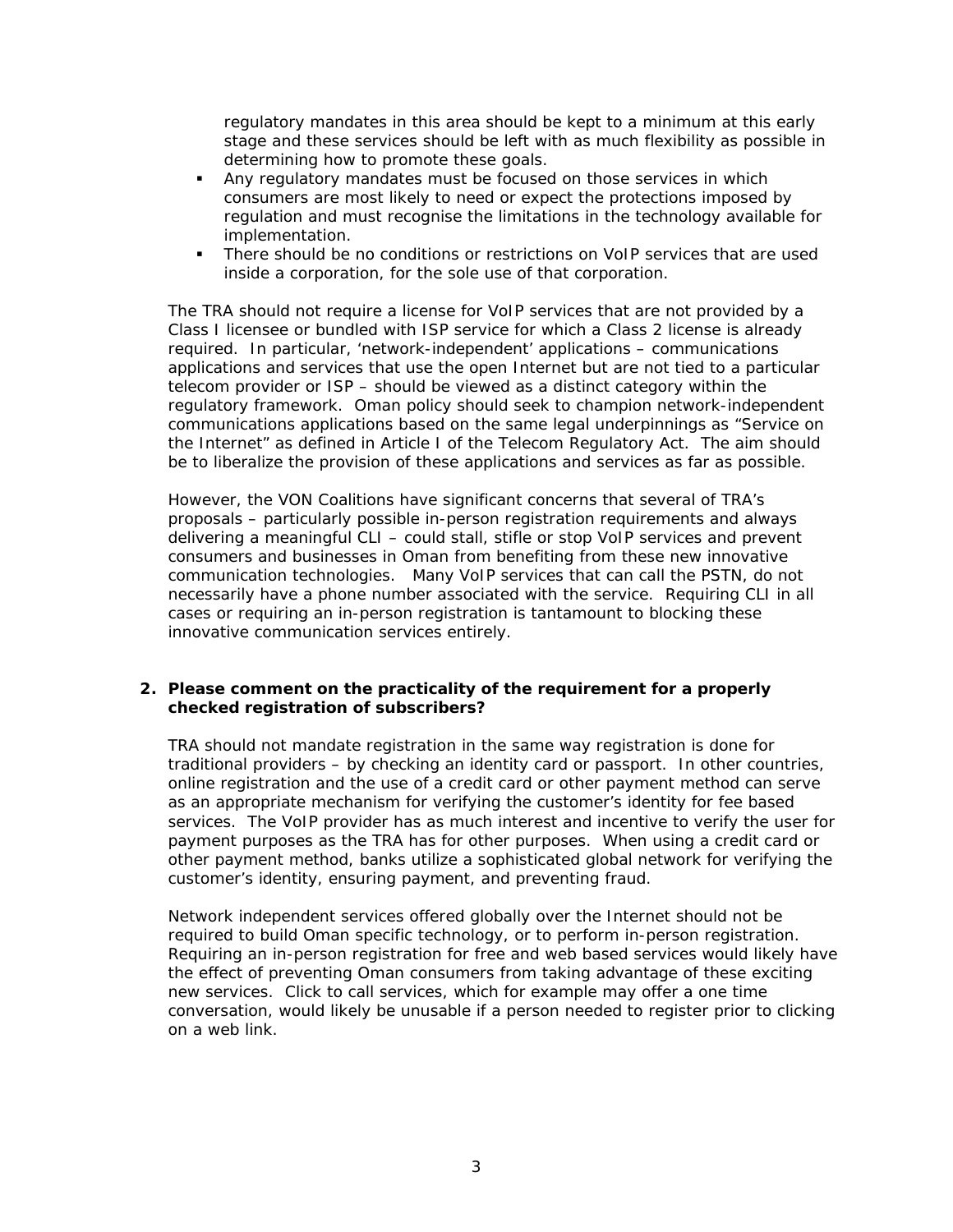regulatory mandates in this area should be kept to a minimum at this early stage and these services should be left with as much flexibility as possible in determining how to promote these goals.

- Any regulatory mandates must be focused on those services in which consumers are most likely to need or expect the protections imposed by regulation and must recognise the limitations in the technology available for implementation.
- There should be no conditions or restrictions on VoIP services that are used inside a corporation, for the sole use of that corporation.

The TRA should not require a license for VoIP services that are not provided by a Class I licensee or bundled with ISP service for which a Class 2 license is already required. In particular, 'network-independent' applications – communications applications and services that use the open Internet but are not tied to a particular telecom provider or ISP – should be viewed as a distinct category within the regulatory framework. Oman policy should seek to champion network-independent communications applications based on the same legal underpinnings as "Service on the Internet" as defined in Article I of the Telecom Regulatory Act. The aim should be to liberalize the provision of these applications and services as far as possible.

However, the VON Coalitions have significant concerns that several of TRA's proposals – particularly possible in-person registration requirements and always delivering a meaningful CLI – could stall, stifle or stop VoIP services and prevent consumers and businesses in Oman from benefiting from these new innovative communication technologies. Many VoIP services that can call the PSTN, do not necessarily have a phone number associated with the service. Requiring CLI in all cases or requiring an in-person registration is tantamount to blocking these innovative communication services entirely.

# **2. Please comment on the practicality of the requirement for a properly checked registration of subscribers?**

TRA should not mandate registration in the same way registration is done for traditional providers – by checking an identity card or passport. In other countries, online registration and the use of a credit card or other payment method can serve as an appropriate mechanism for verifying the customer's identity for fee based services. The VoIP provider has as much interest and incentive to verify the user for payment purposes as the TRA has for other purposes. When using a credit card or other payment method, banks utilize a sophisticated global network for verifying the customer's identity, ensuring payment, and preventing fraud.

Network independent services offered globally over the Internet should not be required to build Oman specific technology, or to perform in-person registration. Requiring an in-person registration for free and web based services would likely have the effect of preventing Oman consumers from taking advantage of these exciting new services. Click to call services, which for example may offer a one time conversation, would likely be unusable if a person needed to register prior to clicking on a web link.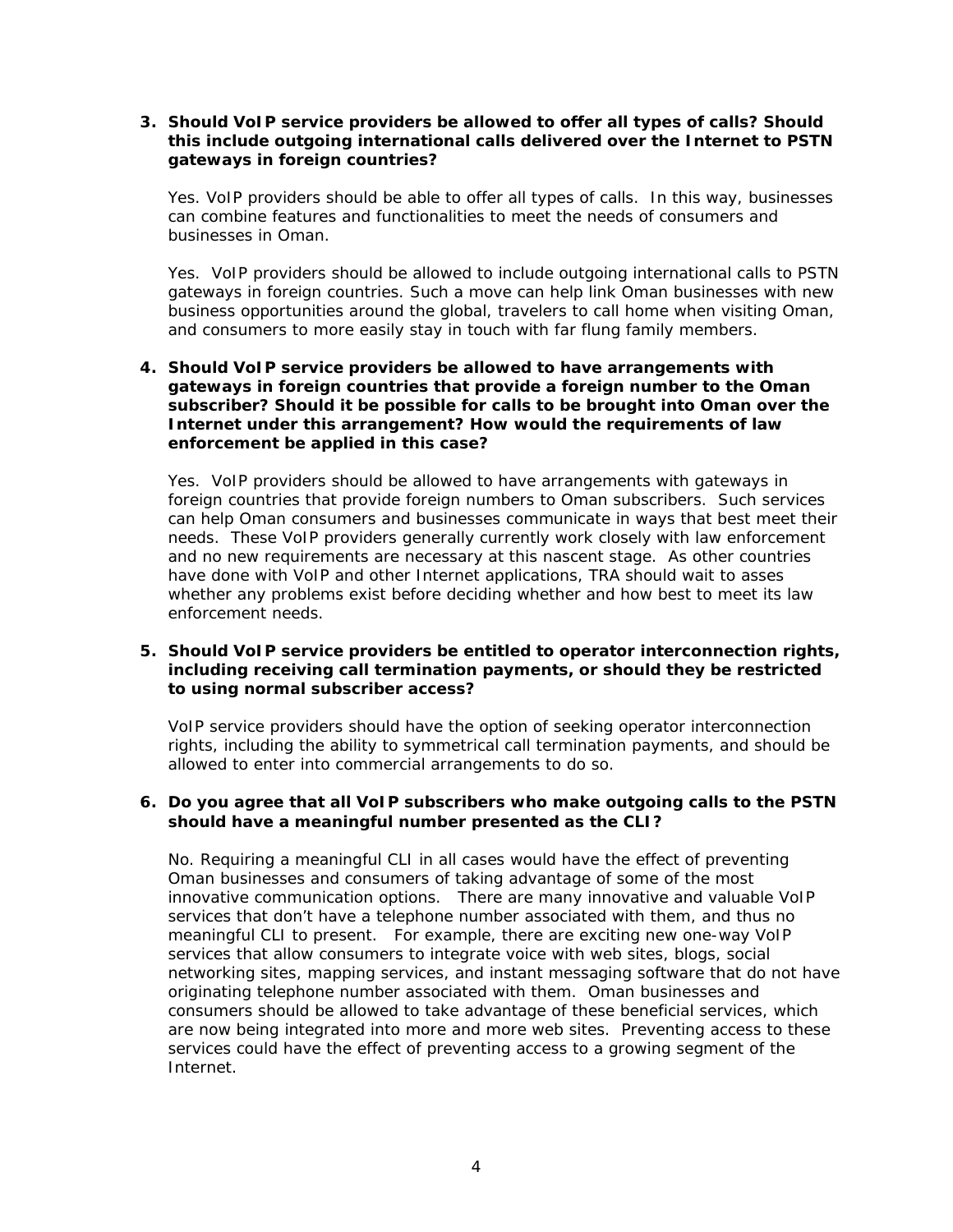# **3. Should VoIP service providers be allowed to offer all types of calls? Should this include outgoing international calls delivered over the Internet to PSTN gateways in foreign countries?**

Yes. VoIP providers should be able to offer all types of calls. In this way, businesses can combine features and functionalities to meet the needs of consumers and businesses in Oman.

Yes. VoIP providers should be allowed to include outgoing international calls to PSTN gateways in foreign countries. Such a move can help link Oman businesses with new business opportunities around the global, travelers to call home when visiting Oman, and consumers to more easily stay in touch with far flung family members.

# **4. Should VoIP service providers be allowed to have arrangements with gateways in foreign countries that provide a foreign number to the Oman subscriber? Should it be possible for calls to be brought into Oman over the Internet under this arrangement? How would the requirements of law enforcement be applied in this case?**

Yes. VoIP providers should be allowed to have arrangements with gateways in foreign countries that provide foreign numbers to Oman subscribers. Such services can help Oman consumers and businesses communicate in ways that best meet their needs. These VoIP providers generally currently work closely with law enforcement and no new requirements are necessary at this nascent stage. As other countries have done with VoIP and other Internet applications, TRA should wait to asses whether any problems exist before deciding whether and how best to meet its law enforcement needs.

# **5. Should VoIP service providers be entitled to operator interconnection rights, including receiving call termination payments, or should they be restricted to using normal subscriber access?**

VoIP service providers should have the option of seeking operator interconnection rights, including the ability to symmetrical call termination payments, and should be allowed to enter into commercial arrangements to do so.

#### **6. Do you agree that all VoIP subscribers who make outgoing calls to the PSTN should have a meaningful number presented as the CLI?**

No. Requiring a meaningful CLI in all cases would have the effect of preventing Oman businesses and consumers of taking advantage of some of the most innovative communication options. There are many innovative and valuable VoIP services that don't have a telephone number associated with them, and thus no meaningful CLI to present. For example, there are exciting new one-way VoIP services that allow consumers to integrate voice with web sites, blogs, social networking sites, mapping services, and instant messaging software that do not have originating telephone number associated with them. Oman businesses and consumers should be allowed to take advantage of these beneficial services, which are now being integrated into more and more web sites. Preventing access to these services could have the effect of preventing access to a growing segment of the Internet.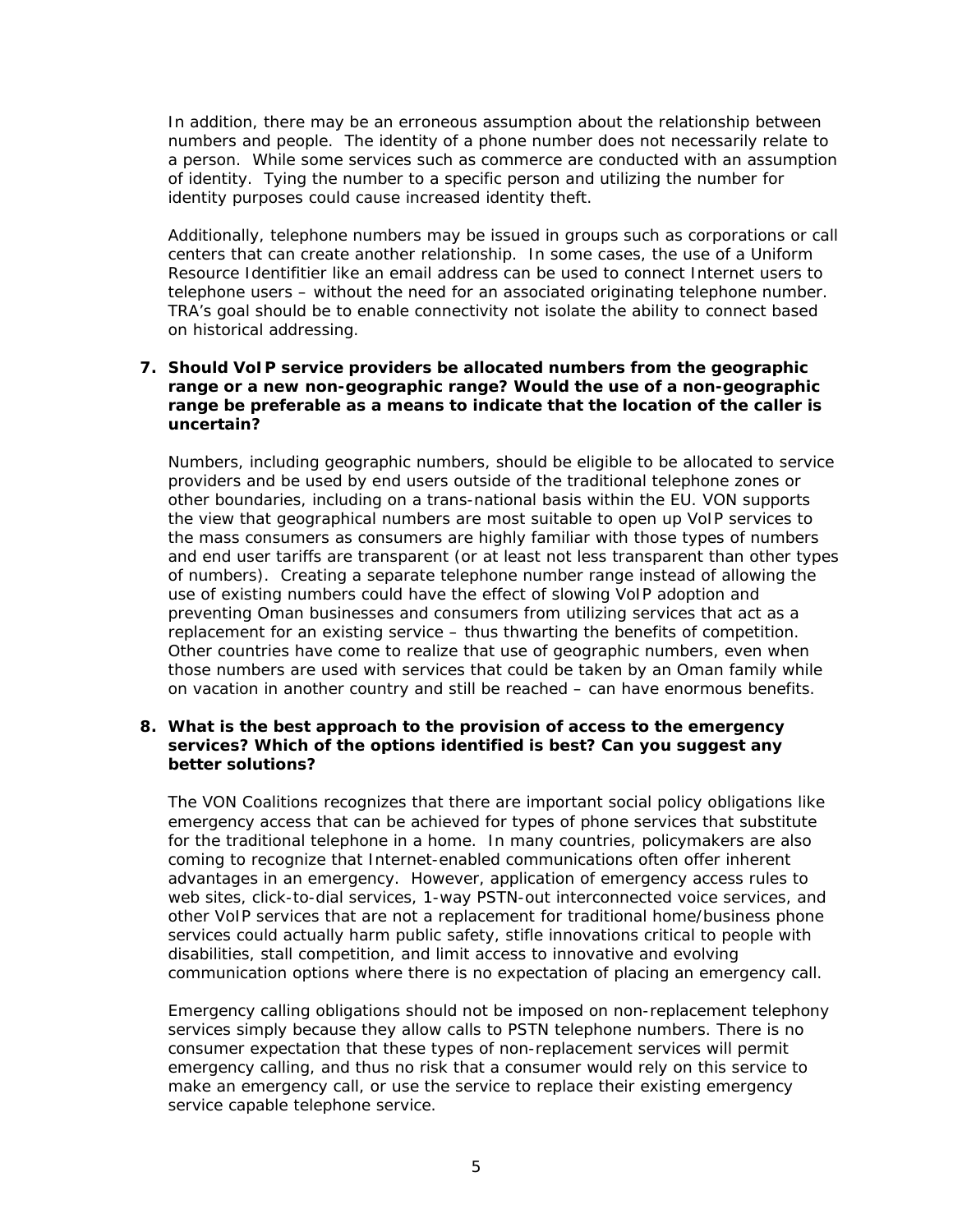In addition, there may be an erroneous assumption about the relationship between numbers and people. The identity of a phone number does not necessarily relate to a person. While some services such as commerce are conducted with an assumption of identity. Tying the number to a specific person and utilizing the number for identity purposes could cause increased identity theft.

Additionally, telephone numbers may be issued in groups such as corporations or call centers that can create another relationship. In some cases, the use of a Uniform Resource Identifitier like an email address can be used to connect Internet users to telephone users – without the need for an associated originating telephone number. TRA's goal should be to enable connectivity not isolate the ability to connect based on historical addressing.

### **7. Should VoIP service providers be allocated numbers from the geographic range or a new non-geographic range? Would the use of a non-geographic range be preferable as a means to indicate that the location of the caller is uncertain?**

Numbers, including geographic numbers, should be eligible to be allocated to service providers and be used by end users outside of the traditional telephone zones or other boundaries, including on a trans-national basis within the EU. VON supports the view that geographical numbers are most suitable to open up VoIP services to the mass consumers as consumers are highly familiar with those types of numbers and end user tariffs are transparent (or at least not less transparent than other types of numbers). Creating a separate telephone number range instead of allowing the use of existing numbers could have the effect of slowing VoIP adoption and preventing Oman businesses and consumers from utilizing services that act as a replacement for an existing service – thus thwarting the benefits of competition. Other countries have come to realize that use of geographic numbers, even when those numbers are used with services that could be taken by an Oman family while on vacation in another country and still be reached – can have enormous benefits.

#### **8. What is the best approach to the provision of access to the emergency services? Which of the options identified is best? Can you suggest any better solutions?**

The VON Coalitions recognizes that there are important social policy obligations like emergency access that can be achieved for types of phone services that substitute for the traditional telephone in a home. In many countries, policymakers are also coming to recognize that Internet-enabled communications often offer inherent advantages in an emergency. However, application of emergency access rules to web sites, click-to-dial services, 1-way PSTN-out interconnected voice services, and other VoIP services that are not a replacement for traditional home/business phone services could actually harm public safety, stifle innovations critical to people with disabilities, stall competition, and limit access to innovative and evolving communication options where there is no expectation of placing an emergency call.

Emergency calling obligations should not be imposed on non-replacement telephony services simply because they allow calls to PSTN telephone numbers. There is no consumer expectation that these types of non-replacement services will permit emergency calling, and thus no risk that a consumer would rely on this service to make an emergency call, or use the service to replace their existing emergency service capable telephone service.